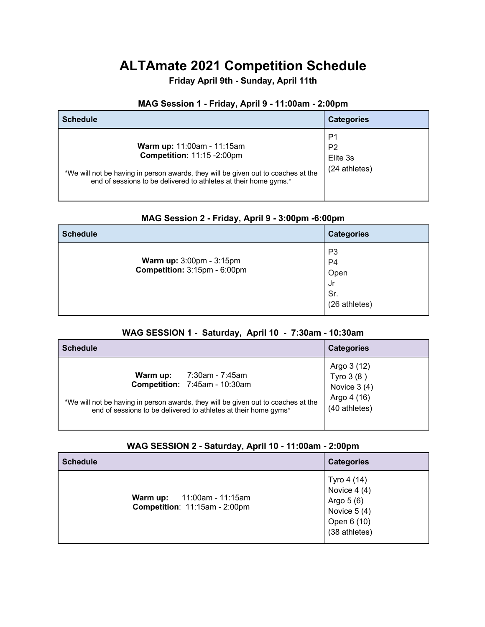# **ALTAmate 2021 Competition Schedule**

**Friday April 9th - Sunday, April 11th** 

#### **MAG Session 1 - Friday, April 9 - 11:00am - 2:00pm**

| <b>Schedule</b>                                                                   | <b>Categories</b> |
|-----------------------------------------------------------------------------------|-------------------|
| Warm up: 11:00am - 11:15am                                                        | P1                |
| <b>Competition: 11:15 -2:00pm</b>                                                 | P <sub>2</sub>    |
| *We will not be having in person awards, they will be given out to coaches at the | Elite 3s          |
| end of sessions to be delivered to athletes at their home gyms.*                  | (24 athletes)     |

### **MAG Session 2 - Friday, April 9 - 3:00pm -6:00pm**

| <b>Schedule</b>                                                 | <b>Categories</b>                                                      |
|-----------------------------------------------------------------|------------------------------------------------------------------------|
| <b>Warm up: 3:00pm - 3:15pm</b><br>Competition: 3:15pm - 6:00pm | P <sub>3</sub><br>P <sub>4</sub><br>Open<br>Jr<br>Sr.<br>(26 athletes) |

## **WAG SESSION 1 - Saturday, April 10 - 7:30am - 10:30am**

| <b>Schedule</b>                                                                   | <b>Categories</b> |
|-----------------------------------------------------------------------------------|-------------------|
| 7:30am - 7:45am                                                                   | Argo 3 (12)       |
| Warm up:                                                                          | Tyro 3 (8)        |
| Competition: 7:45am - 10:30am                                                     | Novice $3(4)$     |
| *We will not be having in person awards, they will be given out to coaches at the | Argo 4 (16)       |
| end of sessions to be delivered to athletes at their home gyms*                   | (40 athletes)     |

# **WAG SESSION 2 - Saturday, April 10 - 11:00am - 2:00pm**

| <b>Schedule</b>                                                | <b>Categories</b>                                                                         |
|----------------------------------------------------------------|-------------------------------------------------------------------------------------------|
| 11:00am - 11:15am<br>Warm up:<br>Competition: 11:15am - 2:00pm | Tyro 4 (14)<br>Novice 4 (4)<br>Argo 5 (6)<br>Novice 5 (4)<br>Open 6 (10)<br>(38 athletes) |